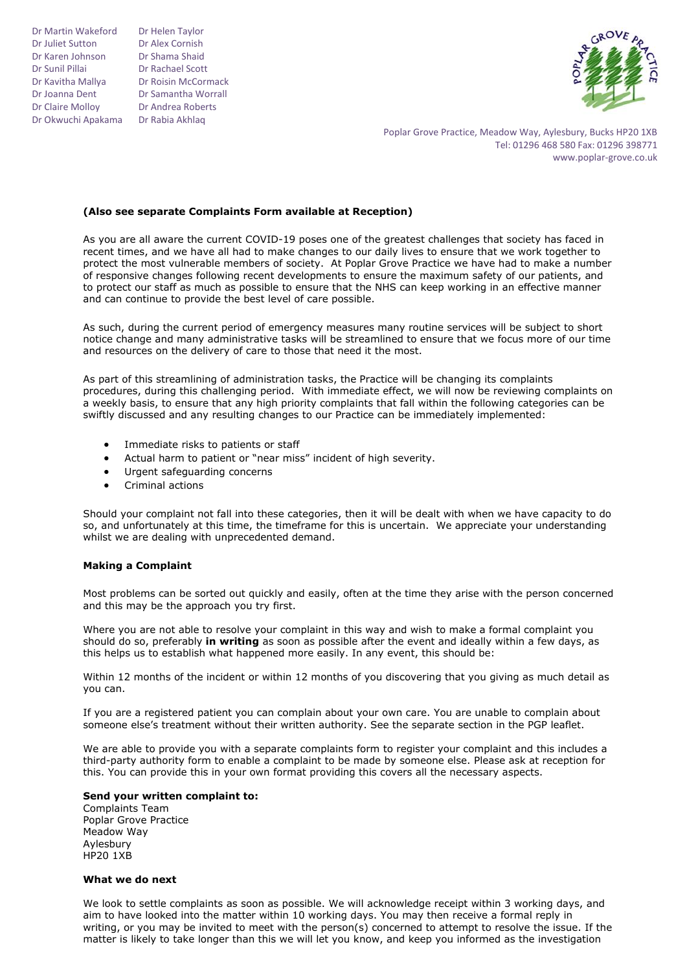Dr Martin Wakeford Dr Juliet Sutton Dr Karen Johnson Dr Sunil Pillai Dr Kavitha Mallya Dr Joanna Dent Dr Claire Molloy Dr Okwuchi Apakama Dr Rabia Akhlaq

Dr Helen Taylor Dr Alex Cornish Dr Shama Shaid Dr Rachael Scott Dr Roisin McCormack Dr Samantha Worrall Dr Andrea Roberts



Poplar Grove Practice, Meadow Way, Aylesbury, Bucks HP20 1XB Tel: 01296 468 580 Fax: 01296 398771 www.poplar-grove.co.uk

# **(Also see separate Complaints Form available at Reception)**

As you are all aware the current COVID-19 poses one of the greatest challenges that society has faced in recent times, and we have all had to make changes to our daily lives to ensure that we work together to protect the most vulnerable members of society. At Poplar Grove Practice we have had to make a number of responsive changes following recent developments to ensure the maximum safety of our patients, and to protect our staff as much as possible to ensure that the NHS can keep working in an effective manner and can continue to provide the best level of care possible.

As such, during the current period of emergency measures many routine services will be subject to short notice change and many administrative tasks will be streamlined to ensure that we focus more of our time and resources on the delivery of care to those that need it the most.

As part of this streamlining of administration tasks, the Practice will be changing its complaints procedures, during this challenging period. With immediate effect, we will now be reviewing complaints on a weekly basis, to ensure that any high priority complaints that fall within the following categories can be swiftly discussed and any resulting changes to our Practice can be immediately implemented:

- Immediate risks to patients or staff
- Actual harm to patient or "near miss" incident of high severity.
- Urgent safeguarding concerns
- Criminal actions

Should your complaint not fall into these categories, then it will be dealt with when we have capacity to do so, and unfortunately at this time, the timeframe for this is uncertain. We appreciate your understanding whilst we are dealing with unprecedented demand.

# **Making a Complaint**

Most problems can be sorted out quickly and easily, often at the time they arise with the person concerned and this may be the approach you try first.

Where you are not able to resolve your complaint in this way and wish to make a formal complaint you should do so, preferably **in writing** as soon as possible after the event and ideally within a few days, as this helps us to establish what happened more easily. In any event, this should be:

Within 12 months of the incident or within 12 months of you discovering that you giving as much detail as you can.

If you are a registered patient you can complain about your own care. You are unable to complain about someone else's treatment without their written authority. See the separate section in the PGP leaflet.

We are able to provide you with a separate complaints form to register your complaint and this includes a third-party authority form to enable a complaint to be made by someone else. Please ask at reception for this. You can provide this in your own format providing this covers all the necessary aspects.

# **Send your written complaint to:**

Complaints Team Poplar Grove Practice Meadow Way Aylesbury  $HPP0 1XB$ 

### **What we do next**

We look to settle complaints as soon as possible. We will acknowledge receipt within 3 working days, and aim to have looked into the matter within 10 working days. You may then receive a formal reply in writing, or you may be invited to meet with the person(s) concerned to attempt to resolve the issue. If the matter is likely to take longer than this we will let you know, and keep you informed as the investigation